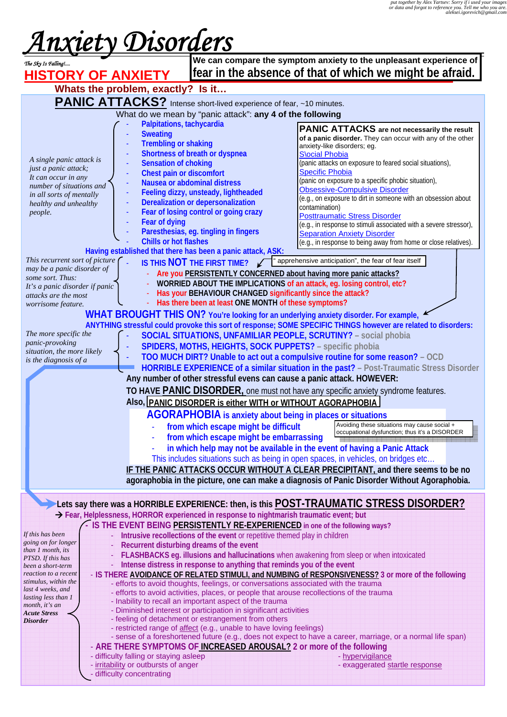# *Anxiety Disorders The Sky Is Falling!....*

|                                                                                                                                               |                                                                                                    |                                                                                                                        | We can compare the symptom anxiety to the unpleasant experience of                                             |  |  |
|-----------------------------------------------------------------------------------------------------------------------------------------------|----------------------------------------------------------------------------------------------------|------------------------------------------------------------------------------------------------------------------------|----------------------------------------------------------------------------------------------------------------|--|--|
| The Sky Is Falling!<br><b>HISTORY OF ANXIETY</b>                                                                                              |                                                                                                    | fear in the absence of that of which we might be afraid.                                                               |                                                                                                                |  |  |
|                                                                                                                                               |                                                                                                    |                                                                                                                        |                                                                                                                |  |  |
| Whats the problem, exactly? Is it                                                                                                             |                                                                                                    |                                                                                                                        |                                                                                                                |  |  |
| <b>PANIC ATTACKS?</b> Intense short-lived experience of fear, ~10 minutes.                                                                    |                                                                                                    |                                                                                                                        |                                                                                                                |  |  |
| What do we mean by "panic attack": any 4 of the following                                                                                     |                                                                                                    |                                                                                                                        |                                                                                                                |  |  |
|                                                                                                                                               | Palpitations, tachycardia                                                                          |                                                                                                                        | PANIC ATTACKS are not necessarily the result                                                                   |  |  |
|                                                                                                                                               | <b>Sweating</b>                                                                                    |                                                                                                                        | of a panic disorder. They can occur with any of the other                                                      |  |  |
|                                                                                                                                               | <b>Trembling or shaking</b>                                                                        | Shortness of breath or dyspnea                                                                                         | anxiety-like disorders; eg.                                                                                    |  |  |
| A single panic attack is                                                                                                                      | <b>Sensation of choking</b>                                                                        |                                                                                                                        | <b>Slocial Phobia</b><br>(panic attacks on exposure to feared social situations),                              |  |  |
| just a panic attack;                                                                                                                          | Chest pain or discomfort                                                                           |                                                                                                                        | <b>Specific Phobia</b>                                                                                         |  |  |
| It can occur in any<br>number of situations and                                                                                               |                                                                                                    | Nausea or abdominal distress                                                                                           | (panic on exposure to a specific phobic situation),                                                            |  |  |
| in all sorts of mentally                                                                                                                      |                                                                                                    | Feeling dizzy, unsteady, lightheaded                                                                                   | <b>Obsessive-Compulsive Disorder</b>                                                                           |  |  |
| healthy and unhealthy                                                                                                                         |                                                                                                    | Derealization or depersonalization                                                                                     | (e.g., on exposure to dirt in someone with an obsession about<br>contamination)                                |  |  |
| people.                                                                                                                                       |                                                                                                    | Fear of losing control or going crazy                                                                                  | <b>Posttraumatic Stress Disorder</b>                                                                           |  |  |
|                                                                                                                                               | <b>Fear of dying</b>                                                                               |                                                                                                                        | (e.g., in response to stimuli associated with a severe stressor),                                              |  |  |
|                                                                                                                                               |                                                                                                    | Paresthesias, eg. tingling in fingers                                                                                  | <b>Separation Anxiety Disorder</b>                                                                             |  |  |
|                                                                                                                                               | <b>Chills or hot flashes</b>                                                                       |                                                                                                                        | (e.g., in response to being away from home or close relatives).                                                |  |  |
| This recurrent sort of picture                                                                                                                | Having established that there has been a panic attack, ASK:                                        |                                                                                                                        | apprehensive anticipation", the fear of fear itself                                                            |  |  |
| may be a panic disorder of                                                                                                                    |                                                                                                    | IS THIS NOT THE FIRST TIME?                                                                                            |                                                                                                                |  |  |
| some sort. Thus:                                                                                                                              |                                                                                                    | Are you PERSISTENTLY CONCERNED about having more panic attacks?                                                        | WORRIED ABOUT THE IMPLICATIONS of an attack, eg. losing control, etc?                                          |  |  |
| It's a panic disorder if panic                                                                                                                |                                                                                                    | Has your BEHAVIOUR CHANGED significantly since the attack?                                                             |                                                                                                                |  |  |
| attacks are the most<br>worrisome feature.                                                                                                    |                                                                                                    | Has there been at least ONE MONTH of these symptoms?                                                                   |                                                                                                                |  |  |
|                                                                                                                                               |                                                                                                    |                                                                                                                        | WHAT BROUGHT THIS ON? You're looking for an underlying anxiety disorder. For example,                          |  |  |
|                                                                                                                                               |                                                                                                    |                                                                                                                        | ANYTHING stressful could provoke this sort of response; SOME SPECIFIC THINGS however are related to disorders: |  |  |
| The more specific the                                                                                                                         |                                                                                                    |                                                                                                                        | <b>SOCIAL SITUATIONS, UNFAMILIAR PEOPLE, SCRUTINY?</b> - social phobia                                         |  |  |
| panic-provoking                                                                                                                               |                                                                                                    | SPIDERS, MOTHS, HEIGHTS, SOCK PUPPETS? - specific phobia                                                               |                                                                                                                |  |  |
| situation, the more likely                                                                                                                    |                                                                                                    |                                                                                                                        | TOO MUCH DIRT? Unable to act out a compulsive routine for some reason? - OCD                                   |  |  |
| is the diagnosis of a                                                                                                                         |                                                                                                    |                                                                                                                        | HORRIBLE EXPERIENCE of a similar situation in the past? - Post-Traumatic Stress Disorder                       |  |  |
|                                                                                                                                               |                                                                                                    | Any number of other stressful evens can cause a panic attack. HOWEVER:                                                 |                                                                                                                |  |  |
|                                                                                                                                               |                                                                                                    |                                                                                                                        | TO HAVE PANIC DISORDER, one must not have any specific anxiety syndrome features.                              |  |  |
|                                                                                                                                               |                                                                                                    |                                                                                                                        |                                                                                                                |  |  |
| Also, PANIC DISORDER is either WITH or WITHOUT AGORAPHOBIA                                                                                    |                                                                                                    |                                                                                                                        |                                                                                                                |  |  |
| <b>AGORAPHOBIA</b> is anxiety about being in places or situations<br>Avoiding these situations may cause social +                             |                                                                                                    |                                                                                                                        |                                                                                                                |  |  |
|                                                                                                                                               |                                                                                                    | from which escape might be difficult                                                                                   | occupational dysfunction: thus it's a DISORDER                                                                 |  |  |
|                                                                                                                                               |                                                                                                    | from which escape might be embarrassing                                                                                |                                                                                                                |  |  |
| in which help may not be available in the event of having a Panic Attack                                                                      |                                                                                                    |                                                                                                                        |                                                                                                                |  |  |
|                                                                                                                                               |                                                                                                    |                                                                                                                        | This includes situations such as being in open spaces, in vehicles, on bridges etc                             |  |  |
|                                                                                                                                               |                                                                                                    |                                                                                                                        | IF THE PANIC ATTACKS OCCUR WITHOUT A CLEAR PRECIPITANT, and there seems to be no                               |  |  |
|                                                                                                                                               |                                                                                                    |                                                                                                                        | agoraphobia in the picture, one can make a diagnosis of Panic Disorder Without Agoraphobia.                    |  |  |
|                                                                                                                                               |                                                                                                    |                                                                                                                        |                                                                                                                |  |  |
|                                                                                                                                               |                                                                                                    |                                                                                                                        | Lets say there was a HORRIBLE EXPERIENCE: then, is this POST-TRAUMATIC STRESS DISORDER?                        |  |  |
|                                                                                                                                               |                                                                                                    | > Fear, Helplessness, HORROR experienced in response to nightmarish traumatic event; but                               |                                                                                                                |  |  |
| If this has been                                                                                                                              |                                                                                                    | - IS THE EVENT BEING PERSISTENTLY RE-EXPERIENCED in one of the following ways?                                         |                                                                                                                |  |  |
| going on for longer                                                                                                                           |                                                                                                    | Intrusive recollections of the event or repetitive themed play in children<br>Recurrent disturbing dreams of the event |                                                                                                                |  |  |
| than 1 month, its                                                                                                                             |                                                                                                    |                                                                                                                        | FLASHBACKS eg. illusions and hallucinations when awakening from sleep or when intoxicated                      |  |  |
| PTSD. If this has<br>been a short-term                                                                                                        |                                                                                                    | Intense distress in response to anything that reminds you of the event                                                 |                                                                                                                |  |  |
| reaction to a recent                                                                                                                          | - IS THERE AVOIDANCE OF RELATED STIMULI, and NUMBING of RESPONSIVENESS? 3 or more of the following |                                                                                                                        |                                                                                                                |  |  |
| stimulus, within the                                                                                                                          |                                                                                                    | - efforts to avoid thoughts, feelings, or conversations associated with the trauma                                     |                                                                                                                |  |  |
| last 4 weeks, and<br>- efforts to avoid activities, places, or people that arouse recollections of the trauma<br>lasting less than 1          |                                                                                                    |                                                                                                                        |                                                                                                                |  |  |
| - Inability to recall an important aspect of the trauma<br>month, it's an<br>- Diminished interest or participation in significant activities |                                                                                                    |                                                                                                                        |                                                                                                                |  |  |
| <b>Acute Stress</b><br>- feeling of detachment or estrangement from others<br><b>Disorder</b>                                                 |                                                                                                    |                                                                                                                        |                                                                                                                |  |  |
| - restricted range of affect (e.g., unable to have loving feelings)                                                                           |                                                                                                    |                                                                                                                        |                                                                                                                |  |  |
|                                                                                                                                               |                                                                                                    |                                                                                                                        | - sense of a foreshortened future (e.g., does not expect to have a career, marriage, or a normal life span)    |  |  |
|                                                                                                                                               |                                                                                                    | - ARE THERE SYMPTOMS OF INCREASED AROUSAL? 2 or more of the following                                                  |                                                                                                                |  |  |
|                                                                                                                                               | - difficulty falling or staying asleep<br>- irritability or outbursts of anger                     |                                                                                                                        | - hypervigilance<br>- exaggerated startle response                                                             |  |  |
|                                                                                                                                               | difficulty concentrating                                                                           |                                                                                                                        |                                                                                                                |  |  |
|                                                                                                                                               |                                                                                                    |                                                                                                                        |                                                                                                                |  |  |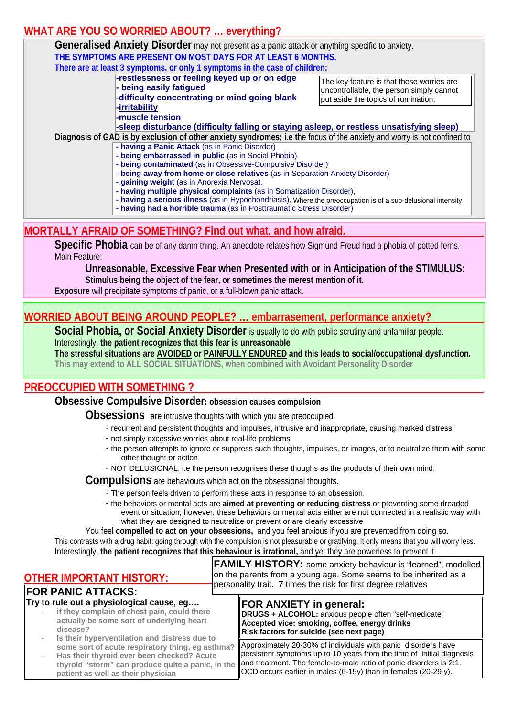#### **WHAT ARE YOU SO WORRIED ABOUT? … everything?**

| <b>Generalised Anxiety Disorder</b> may not present as a panic attack or anything specific to anxiety.                                                                               |                                                                                                                              |  |  |  |
|--------------------------------------------------------------------------------------------------------------------------------------------------------------------------------------|------------------------------------------------------------------------------------------------------------------------------|--|--|--|
| THE SYMPTOMS ARE PRESENT ON MOST DAYS FOR AT LEAST 6 MONTHS.                                                                                                                         |                                                                                                                              |  |  |  |
| There are at least 3 symptoms, or only 1 symptoms in the case of children:                                                                                                           |                                                                                                                              |  |  |  |
| -restlessness or feeling keyed up or on edge<br>- being easily fatigued<br>-difficulty concentrating or mind going blank                                                             | The key feature is that these worries are<br>uncontrollable, the person simply cannot<br>put aside the topics of rumination. |  |  |  |
| -irritability<br>-muscle tension<br>-sleep disturbance (difficulty falling or staying asleep, or restless unsatisfying sleep)                                                        |                                                                                                                              |  |  |  |
| Diagnosis of GAD is by exclusion of other anxiety syndromes; i.e the focus of the anxiety and worry is not confined to                                                               |                                                                                                                              |  |  |  |
| - having a Panic Attack (as in Panic Disorder)                                                                                                                                       |                                                                                                                              |  |  |  |
| - being embarrassed in public (as in Social Phobia)                                                                                                                                  |                                                                                                                              |  |  |  |
| - being contaminated (as in Obsessive-Compulsive Disorder)                                                                                                                           |                                                                                                                              |  |  |  |
| - being away from home or close relatives (as in Separation Anxiety Disorder)                                                                                                        |                                                                                                                              |  |  |  |
| - gaining weight (as in Anorexia Nervosa),                                                                                                                                           |                                                                                                                              |  |  |  |
| - having multiple physical complaints (as in Somatization Disorder),                                                                                                                 |                                                                                                                              |  |  |  |
| - having a serious illness (as in Hypochondriasis), Where the preoccupation is of a sub-delusional intensity<br>- having had a horrible trauma (as in Posttraumatic Stress Disorder) |                                                                                                                              |  |  |  |
|                                                                                                                                                                                      |                                                                                                                              |  |  |  |

#### **MORTALLY AFRAID OF SOMETHING? Find out what, and how afraid.**

**Specific Phobia** can be of any damn thing. An anecdote relates how Sigmund Freud had a phobia of potted ferns. Main Feature:

**Unreasonable, Excessive Fear when Presented with or in Anticipation of the STIMULUS: Stimulus being the object of the fear, or sometimes the merest mention of it.** 

**Exposure** will precipitate symptoms of panic, or a full-blown panic attack.

#### **WORRIED ABOUT BEING AROUND PEOPLE? … embarrasement, performance anxiety?**

**Social Phobia, or Social Anxiety Disorder** is usually to do with public scrutiny and unfamiliar people. Interestingly, **the patient recognizes that this fear is unreasonable** 

**The stressful situations are AVOIDED or PAINFULLY ENDURED and this leads to social/occupational dysfunction. This may extend to ALL SOCIAL SITUATIONS, when combined with Avoidant Personality Disorder** 

#### **PREOCCUPIED WITH SOMETHING ?**

**Obsessive Compulsive Disorder: obsession causes compulsion**

**Obsessions** are intrusive thoughts with which you are preoccupied.

- recurrent and persistent thoughts and impulses, intrusive and inappropriate, causing marked distress
- not simply excessive worries about real-life problems
- the person attempts to ignore or suppress such thoughts, impulses, or images, or to neutralize them with some other thought or action
- NOT DELUSIONAL, i.e the person recognises these thoughs as the products of their own mind.

**Compulsions** are behaviours which act on the obsessional thoughts.

- The person feels driven to perform these acts in response to an obsession.
	- the behaviors or mental acts are **aimed at preventing or reducing distress** or preventing some dreaded event or situation; however, these behaviors or mental acts either are not connected in a realistic way with what they are designed to neutralize or prevent or are clearly excessive

 You feel **compelled to act on your obsessions,** and you feel anxious if you are prevented from doing so. This contrasts with a drug habit: going through with the compulsion is not pleasurable or gratifying. It only means that you will worry less. Interestingly, **the patient recognizes that this behaviour is irrational,** and yet they are powerless to prevent it.

| <b>OTHER IMPORTANT HISTORY:</b><br><b>FOR PANIC ATTACKS:</b>                                                                                                                                                                               | <b>FAMILY HISTORY:</b> some anxiety behaviour is "learned", modelled<br>on the parents from a young age. Some seems to be inherited as a<br>personality trait. 7 times the risk for first degree relatives                                                                     |
|--------------------------------------------------------------------------------------------------------------------------------------------------------------------------------------------------------------------------------------------|--------------------------------------------------------------------------------------------------------------------------------------------------------------------------------------------------------------------------------------------------------------------------------|
| Try to rule out a physiological cause, eg<br>if they complain of chest pain, could there<br>actually be some sort of underlying heart<br>disease?                                                                                          | FOR ANXIETY in general:<br><b>DRUGS + ALCOHOL:</b> anxious people often "self-medicate"<br>Accepted vice: smoking, coffee, energy drinks<br>Risk factors for suicide (see next page)                                                                                           |
| Is their hyperventilation and distress due to<br>some sort of acute respiratory thing, eg asthma?<br>Has their thyroid ever been checked? Acute<br>thyroid "storm" can produce quite a panic, in the<br>patient as well as their physician | Approximately 20-30% of individuals with panic disorders have<br>persistent symptoms up to 10 years from the time of initial diagnosis<br>and treatment. The female-to-male ratio of panic disorders is 2:1.<br>OCD occurs earlier in males (6-15y) than in females (20-29 y). |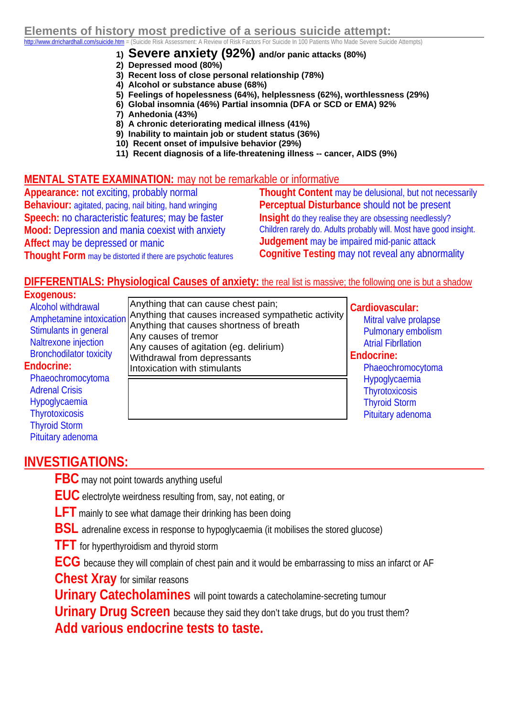#### **1) Severe anxiety (92%) and/or panic attacks (80%)**

- **2) Depressed mood (80%)**
- **3) Recent loss of close personal relationship (78%)**
- **4) Alcohol or substance abuse (68%)**
- **5) Feelings of hopelessness (64%), helplessness (62%), worthlessness (29%)**
- **6) Global insomnia (46%) Partial insomnia (DFA or SCD or EMA) 92%**
- **7) Anhedonia (43%)**
- **8) A chronic deteriorating medical illness (41%)**
- **9) Inability to maintain job or student status (36%)**
- **10) Recent onset of impulsive behavior (29%)**
- **11) Recent diagnosis of a life-threatening illness -- cancer, AIDS (9%)**

#### **MENTAL STATE EXAMINATION:** may not be remarkable or informative

**Appearance:** not exciting, probably normal **Behaviour:** agitated, pacing, nail biting, hand wringing **Speech:** no characteristic features; may be faster **Mood:** Depression and mania coexist with anxiety **Affect** may be depressed or manic **Thought Form** may be distorted if there are psychotic features

**Thought Content** may be delusional, but not necessarily **Perceptual Disturbance** should not be present **Insight** do they realise they are obsessing needlessly? Children rarely do. Adults probably will. Most have good insight. **Judgement** may be impaired mid-panic attack **Cognitive Testing** may not reveal any abnormality

#### **DIFFERENTIALS: Physiological Causes of anxiety:** the real list is massive; the following one is but a shadow

#### **Exogenous:**

 Alcohol withdrawal Amphetamine intoxication Stimulants in general Naltrexone injection Bronchodilator toxicity **Endocrine:**  Phaeochromocytoma Adrenal Crisis Hypoglycaemia **Thyrotoxicosis** Anything that can cause chest pain; Anything that causes increased sympathetic activity Anything that causes shortness of breath Any causes of tremor Any causes of agitation (eg. delirium) Withdrawal from depressants Intoxication with stimulants

#### **Cardiovascular:**

 Mitral valve prolapse Pulmonary embolism Atrial Fibrllation

#### **Endocrine:**

 Phaeochromocytoma Hypoglycaemia **Thyrotoxicosis**  Thyroid Storm Pituitary adenoma

#### **INVESTIGATIONS:**

 Thyroid Storm Pituitary adenoma

**FBC** may not point towards anything useful

 **EUC** electrolyte weirdness resulting from, say, not eating, or

**LFT** mainly to see what damage their drinking has been doing

**BSL** adrenaline excess in response to hypoglycaemia (it mobilises the stored glucose)

 **TFT** for hyperthyroidism and thyroid storm

 **ECG** because they will complain of chest pain and it would be embarrassing to miss an infarct or AF

**Chest Xray** for similar reasons

 **Urinary Catecholamines** will point towards a catecholamine-secreting tumour

**Urinary Drug Screen** because they said they don't take drugs, but do you trust them? **Add various endocrine tests to taste.**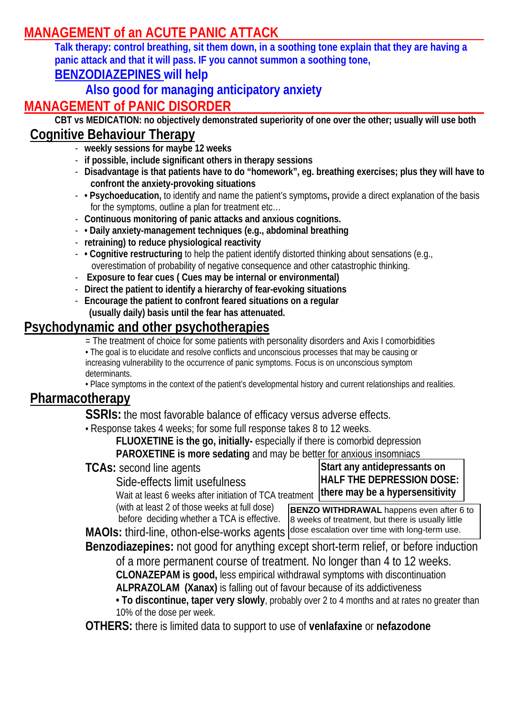# **MANAGEMENT of an ACUTE PANIC ATTACK**

 **Talk therapy: control breathing, sit them down, in a soothing tone explain that they are having a panic attack and that it will pass. IF you cannot summon a soothing tone,** 

## **BENZODIAZEPINES will help**

## **Also good for managing anticipatory anxiety**

## **MANAGEMENT of PANIC DISORDER**

**CBT vs MEDICATION: no objectively demonstrated superiority of one over the other; usually will use both** 

## **Cognitive Behaviour Therapy**

- **weekly sessions for maybe 12 weeks**
- **if possible, include significant others in therapy sessions**
- **Disadvantage is that patients have to do "homework", eg. breathing exercises; plus they will have to confront the anxiety-provoking situations**
- **Psychoeducation,** to identify and name the patient's symptoms**,** provide a direct explanation of the basis for the symptoms, outline a plan for treatment etc…
- **Continuous monitoring of panic attacks and anxious cognitions.**
- **Daily anxiety-management techniques (e.g., abdominal breathing**
- **retraining) to reduce physiological reactivity**
- **Cognitive restructuring** to help the patient identify distorted thinking about sensations (e.g., overestimation of probability of negative consequence and other catastrophic thinking.
- - **Exposure to fear cues ( Cues may be internal or environmental)**
- **Direct the patient to identify a hierarchy of fear-evoking situations**
- **Encourage the patient to confront feared situations on a regular (usually daily) basis until the fear has attenuated.**

## **Psychodynamic and other psychotherapies**

= The treatment of choice for some patients with personality disorders and Axis I comorbidities

• The goal is to elucidate and resolve conflicts and unconscious processes that may be causing or increasing vulnerability to the occurrence of panic symptoms. Focus is on unconscious symptom determinants.

• Place symptoms in the context of the patient's developmental history and current relationships and realities.

## **Pharmacotherapy**

**SSRIs:** the most favorable balance of efficacy versus adverse effects.

• Response takes 4 weeks; for some full response takes 8 to 12 weeks.

 **FLUOXETINE is the go, initially-** especially if there is comorbid depression

 **PAROXETINE is more sedating** and may be better for anxious insomniacs

**TCAs:** second line agents

Side-effects limit usefulness

Wait at least 6 weeks after initiation of TCA treatment

**Start any antidepressants on HALF THE DEPRESSION DOSE: there may be a hypersensitivity**

 (with at least 2 of those weeks at full dose) before deciding whether a TCA is effective.

**MAOIs:** third-line, othon-else-works agents dose escalation over time with long-term use. **BENZO WITHDRAWAL** happens even after 6 to 8 weeks of treatment, but there is usually little

**Benzodiazepines:** not good for anything except short-term relief, or before induction of a more permanent course of treatment. No longer than 4 to 12 weeks.

**CLONAZEPAM is good,** less empirical withdrawal symptoms with discontinuation

 **ALPRAZOLAM (Xanax)** is falling out of favour because of its addictiveness

**• To discontinue, taper very slowly**, probably over 2 to 4 months and at rates no greater than 10% of the dose per week.

**OTHERS:** there is limited data to support to use of **venlafaxine** or **nefazodone**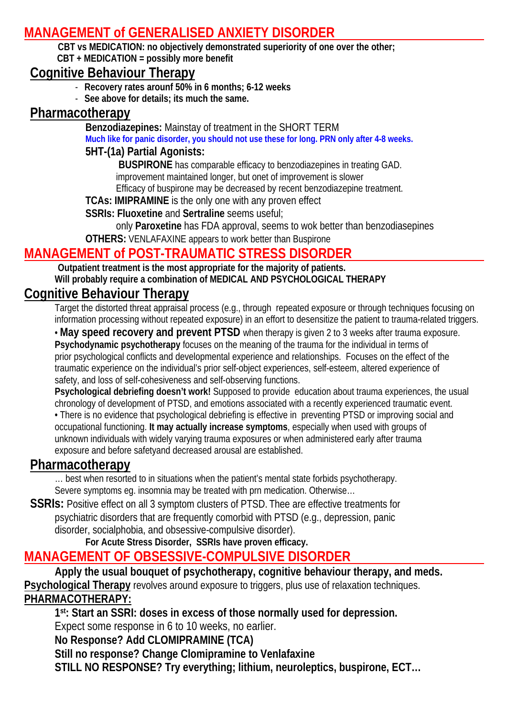## **MANAGEMENT of GENERALISED ANXIETY DISORDER**

 **CBT vs MEDICATION: no objectively demonstrated superiority of one over the other; CBT + MEDICATION = possibly more benefit** 

#### **Cognitive Behaviour Therapy**

- **Recovery rates arounf 50% in 6 months; 6-12 weeks**
- **See above for details; its much the same.**

#### **Pharmacotherapy**

**Benzodiazepines:** Mainstay of treatment in the SHORT TERM **Much like for panic disorder, you should not use these for long. PRN only after 4-8 weeks.** 

#### **5HT-(1a) Partial Agonists:**

 **BUSPIRONE** has comparable efficacy to benzodiazepines in treating GAD. improvement maintained longer, but onet of improvement is slower

Efficacy of buspirone may be decreased by recent benzodiazepine treatment.

**TCAs: IMIPRAMINE** is the only one with any proven effect

**SSRIs: Fluoxetine** and **Sertraline** seems useful;

only **Paroxetine** has FDA approval, seems to wok better than benzodiasepines

**OTHERS:** VENLAFAXINE appears to work better than Buspirone

## **MANAGEMENT of POST-TRAUMATIC STRESS DISORDER**

 **Outpatient treatment is the most appropriate for the majority of patients. Will probably require a combination of MEDICAL AND PSYCHOLOGICAL THERAPY** 

## **Cognitive Behaviour Therapy**

 Target the distorted threat appraisal process (e.g., through repeated exposure or through techniques focusing on information processing without repeated exposure) in an effort to desensitize the patient to trauma-related triggers.

 • **May speed recovery and prevent PTSD** when therapy is given 2 to 3 weeks after trauma exposure.  **Psychodynamic psychotherapy** focuses on the meaning of the trauma for the individual in terms of prior psychological conflicts and developmental experience and relationships. Focuses on the effect of the traumatic experience on the individual's prior self-object experiences, self-esteem, altered experience of safety, and loss of self-cohesiveness and self-observing functions.

 **Psychological debriefing doesn't work!** Supposed to provide education about trauma experiences, the usual chronology of development of PTSD, and emotions associated with a recently experienced traumatic event. • There is no evidence that psychological debriefing is effective in preventing PTSD or improving social and occupational functioning. **It may actually increase symptoms**, especially when used with groups of unknown individuals with widely varying trauma exposures or when administered early after trauma

exposure and before safetyand decreased arousal are established.

#### **Pharmacotherapy**

 … best when resorted to in situations when the patient's mental state forbids psychotherapy. Severe symptoms eg. insomnia may be treated with prn medication. Otherwise…

SSRIs: Positive effect on all 3 symptom clusters of PTSD. Thee are effective treatments for psychiatric disorders that are frequently comorbid with PTSD (e.g., depression, panic disorder, socialphobia, and obsessive-compulsive disorder).

**For Acute Stress Disorder, SSRIs have proven efficacy.**

## **MANAGEMENT OF OBSESSIVE-COMPULSIVE DISORDER**

 **Apply the usual bouquet of psychotherapy, cognitive behaviour therapy, and meds. Psychological Therapy** revolves around exposure to triggers, plus use of relaxation techniques. **PHARMACOTHERAPY:**

 **1st: Start an SSRI: doses in excess of those normally used for depression.** 

Expect some response in 6 to 10 weeks, no earlier.

 **No Response? Add CLOMIPRAMINE (TCA)** 

 **Still no response? Change Clomipramine to Venlafaxine** 

 **STILL NO RESPONSE? Try everything; lithium, neuroleptics, buspirone, ECT…**